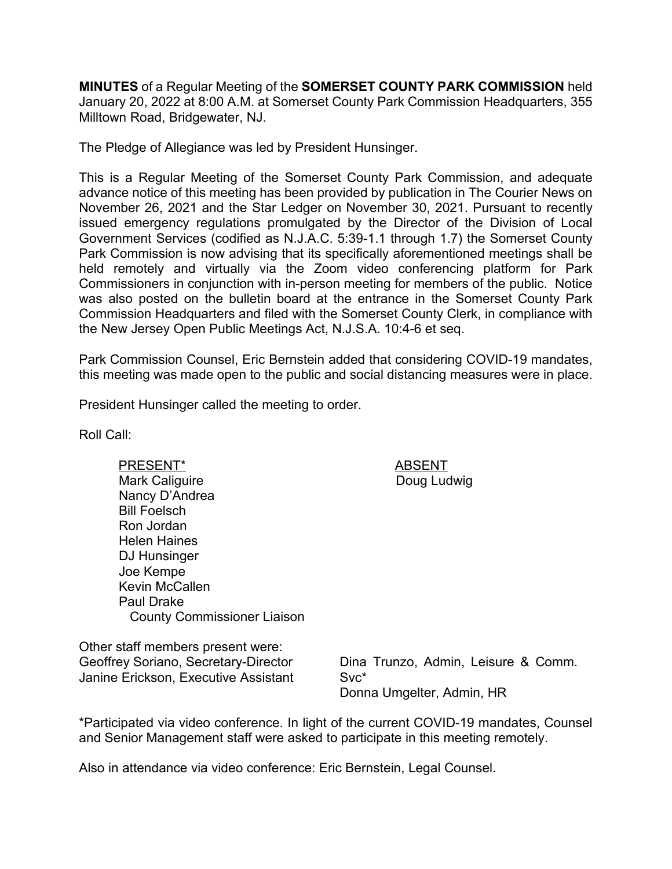**MINUTES** of a Regular Meeting of the **SOMERSET COUNTY PARK COMMISSION** held January 20, 2022 at 8:00 A.M. at Somerset County Park Commission Headquarters, 355 Milltown Road, Bridgewater, NJ.

The Pledge of Allegiance was led by President Hunsinger.

This is a Regular Meeting of the Somerset County Park Commission, and adequate advance notice of this meeting has been provided by publication in The Courier News on November 26, 2021 and the Star Ledger on November 30, 2021. Pursuant to recently issued emergency regulations promulgated by the Director of the Division of Local Government Services (codified as N.J.A.C. 5:39-1.1 through 1.7) the Somerset County Park Commission is now advising that its specifically aforementioned meetings shall be held remotely and virtually via the Zoom video conferencing platform for Park Commissioners in conjunction with in-person meeting for members of the public. Notice was also posted on the bulletin board at the entrance in the Somerset County Park Commission Headquarters and filed with the Somerset County Clerk, in compliance with the New Jersey Open Public Meetings Act, N.J.S.A. 10:4-6 et seq.

Park Commission Counsel, Eric Bernstein added that considering COVID-19 mandates, this meeting was made open to the public and social distancing measures were in place.

President Hunsinger called the meeting to order.

Roll Call:

PRESENT\* ABSENT Mark Caliguire Nancy D'Andrea Bill Foelsch Ron Jordan Helen Haines DJ Hunsinger Joe Kempe Kevin McCallen Paul Drake County Commissioner Liaison

Other staff members present were: Geoffrey Soriano, Secretary-Director Janine Erickson, Executive Assistant

Dina Trunzo, Admin, Leisure & Comm. Svc\* Donna Umgelter, Admin, HR

\*Participated via video conference. In light of the current COVID-19 mandates, Counsel and Senior Management staff were asked to participate in this meeting remotely.

Also in attendance via video conference: Eric Bernstein, Legal Counsel.

Doug Ludwig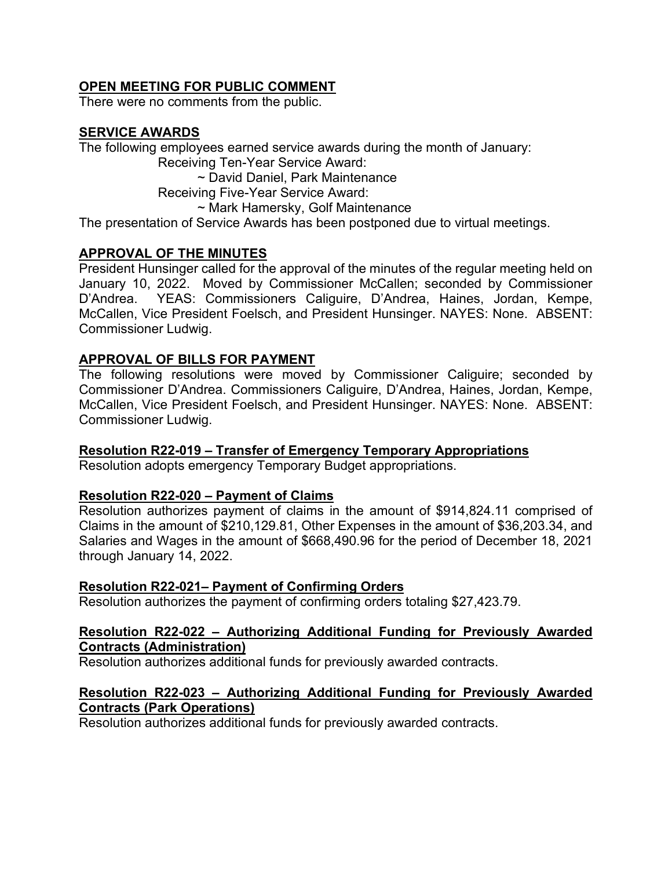# **OPEN MEETING FOR PUBLIC COMMENT**

There were no comments from the public.

# **SERVICE AWARDS**

The following employees earned service awards during the month of January:

Receiving Ten-Year Service Award:

~ David Daniel, Park Maintenance

Receiving Five-Year Service Award:

~ Mark Hamersky, Golf Maintenance

The presentation of Service Awards has been postponed due to virtual meetings.

# **APPROVAL OF THE MINUTES**

President Hunsinger called for the approval of the minutes of the regular meeting held on January 10, 2022. Moved by Commissioner McCallen; seconded by Commissioner D'Andrea. YEAS: Commissioners Caliguire, D'Andrea, Haines, Jordan, Kempe, McCallen, Vice President Foelsch, and President Hunsinger. NAYES: None. ABSENT: Commissioner Ludwig.

# **APPROVAL OF BILLS FOR PAYMENT**

The following resolutions were moved by Commissioner Caliguire; seconded by Commissioner D'Andrea. Commissioners Caliguire, D'Andrea, Haines, Jordan, Kempe, McCallen, Vice President Foelsch, and President Hunsinger. NAYES: None. ABSENT: Commissioner Ludwig.

# **Resolution R22-019 – Transfer of Emergency Temporary Appropriations**

Resolution adopts emergency Temporary Budget appropriations.

# **Resolution R22-020 – Payment of Claims**

Resolution authorizes payment of claims in the amount of \$914,824.11 comprised of Claims in the amount of \$210,129.81, Other Expenses in the amount of \$36,203.34, and Salaries and Wages in the amount of \$668,490.96 for the period of December 18, 2021 through January 14, 2022.

# **Resolution R22-021– Payment of Confirming Orders**

Resolution authorizes the payment of confirming orders totaling \$27,423.79.

### **Resolution R22-022 – Authorizing Additional Funding for Previously Awarded Contracts (Administration)**

Resolution authorizes additional funds for previously awarded contracts.

### **Resolution R22-023 – Authorizing Additional Funding for Previously Awarded Contracts (Park Operations)**

Resolution authorizes additional funds for previously awarded contracts.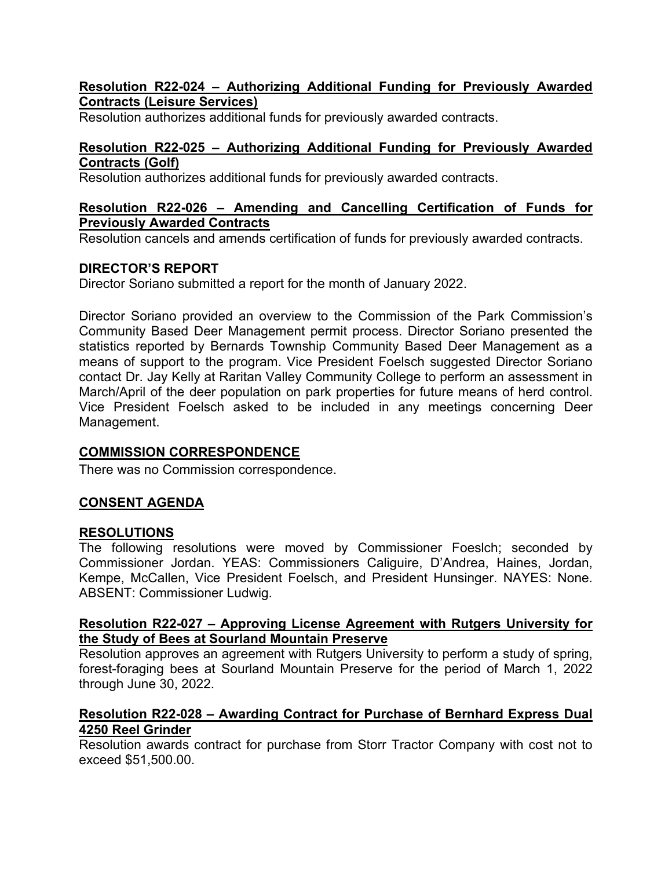### **Resolution R22-024 – Authorizing Additional Funding for Previously Awarded Contracts (Leisure Services)**

Resolution authorizes additional funds for previously awarded contracts.

### **Resolution R22-025 – Authorizing Additional Funding for Previously Awarded Contracts (Golf)**

Resolution authorizes additional funds for previously awarded contracts.

### **Resolution R22-026 – Amending and Cancelling Certification of Funds for Previously Awarded Contracts**

Resolution cancels and amends certification of funds for previously awarded contracts.

# **DIRECTOR'S REPORT**

Director Soriano submitted a report for the month of January 2022.

Director Soriano provided an overview to the Commission of the Park Commission's Community Based Deer Management permit process. Director Soriano presented the statistics reported by Bernards Township Community Based Deer Management as a means of support to the program. Vice President Foelsch suggested Director Soriano contact Dr. Jay Kelly at Raritan Valley Community College to perform an assessment in March/April of the deer population on park properties for future means of herd control. Vice President Foelsch asked to be included in any meetings concerning Deer Management.

# **COMMISSION CORRESPONDENCE**

There was no Commission correspondence.

# **CONSENT AGENDA**

### **RESOLUTIONS**

The following resolutions were moved by Commissioner Foeslch; seconded by Commissioner Jordan. YEAS: Commissioners Caliguire, D'Andrea, Haines, Jordan, Kempe, McCallen, Vice President Foelsch, and President Hunsinger. NAYES: None. ABSENT: Commissioner Ludwig.

### **Resolution R22-027 – Approving License Agreement with Rutgers University for the Study of Bees at Sourland Mountain Preserve**

Resolution approves an agreement with Rutgers University to perform a study of spring, forest-foraging bees at Sourland Mountain Preserve for the period of March 1, 2022 through June 30, 2022.

### **Resolution R22-028 – Awarding Contract for Purchase of Bernhard Express Dual 4250 Reel Grinder**

Resolution awards contract for purchase from Storr Tractor Company with cost not to exceed \$51,500.00.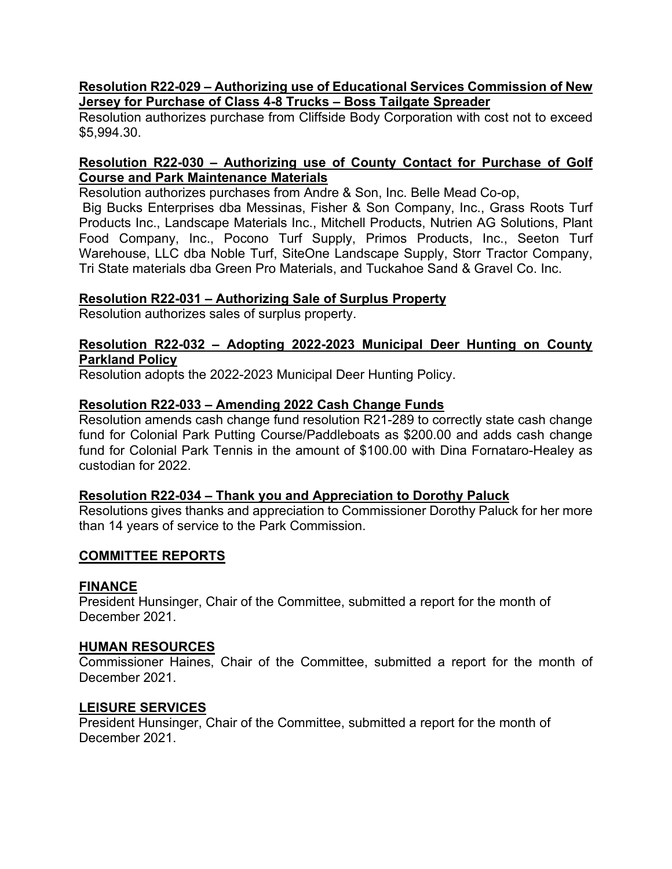#### **Resolution R22-029 – Authorizing use of Educational Services Commission of New Jersey for Purchase of Class 4-8 Trucks – Boss Tailgate Spreader**

Resolution authorizes purchase from Cliffside Body Corporation with cost not to exceed \$5,994.30.

### **Resolution R22-030 – Authorizing use of County Contact for Purchase of Golf Course and Park Maintenance Materials**

Resolution authorizes purchases from Andre & Son, Inc. Belle Mead Co-op,

Big Bucks Enterprises dba Messinas, Fisher & Son Company, Inc., Grass Roots Turf Products Inc., Landscape Materials Inc., Mitchell Products, Nutrien AG Solutions, Plant Food Company, Inc., Pocono Turf Supply, Primos Products, Inc., Seeton Turf Warehouse, LLC dba Noble Turf, SiteOne Landscape Supply, Storr Tractor Company, Tri State materials dba Green Pro Materials, and Tuckahoe Sand & Gravel Co. Inc.

#### **Resolution R22-031 – Authorizing Sale of Surplus Property**

Resolution authorizes sales of surplus property.

### **Resolution R22-032 – Adopting 2022-2023 Municipal Deer Hunting on County Parkland Policy**

Resolution adopts the 2022-2023 Municipal Deer Hunting Policy.

#### **Resolution R22-033 – Amending 2022 Cash Change Funds**

Resolution amends cash change fund resolution R21-289 to correctly state cash change fund for Colonial Park Putting Course/Paddleboats as \$200.00 and adds cash change fund for Colonial Park Tennis in the amount of \$100.00 with Dina Fornataro-Healey as custodian for 2022.

#### **Resolution R22-034 – Thank you and Appreciation to Dorothy Paluck**

Resolutions gives thanks and appreciation to Commissioner Dorothy Paluck for her more than 14 years of service to the Park Commission.

### **COMMITTEE REPORTS**

#### **FINANCE**

President Hunsinger, Chair of the Committee, submitted a report for the month of December 2021.

#### **HUMAN RESOURCES**

Commissioner Haines, Chair of the Committee, submitted a report for the month of December 2021.

#### **LEISURE SERVICES**

President Hunsinger, Chair of the Committee, submitted a report for the month of December 2021.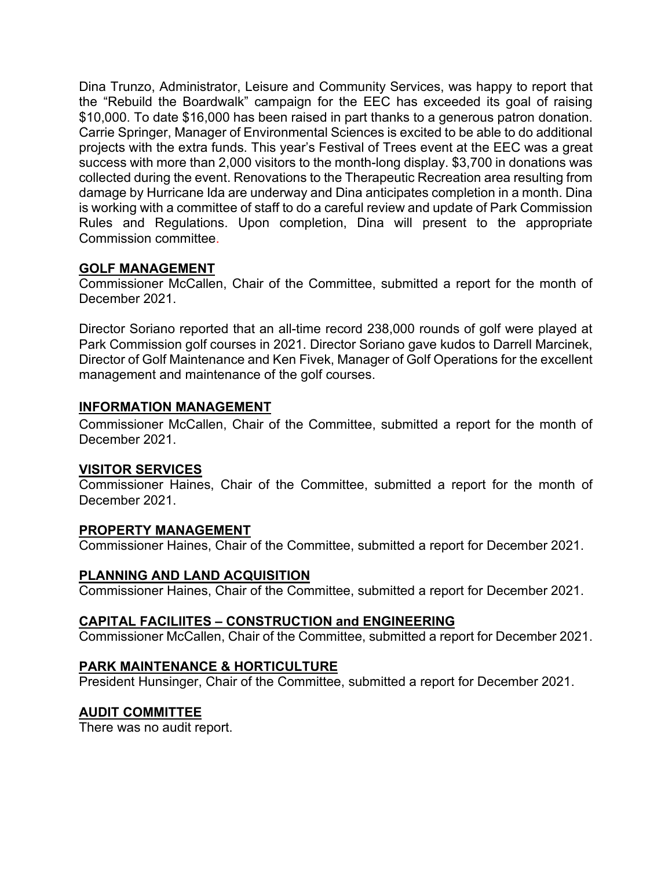Dina Trunzo, Administrator, Leisure and Community Services, was happy to report that the "Rebuild the Boardwalk" campaign for the EEC has exceeded its goal of raising \$10,000. To date \$16,000 has been raised in part thanks to a generous patron donation. Carrie Springer, Manager of Environmental Sciences is excited to be able to do additional projects with the extra funds. This year's Festival of Trees event at the EEC was a great success with more than 2,000 visitors to the month-long display. \$3,700 in donations was collected during the event. Renovations to the Therapeutic Recreation area resulting from damage by Hurricane Ida are underway and Dina anticipates completion in a month. Dina is working with a committee of staff to do a careful review and update of Park Commission Rules and Regulations. Upon completion, Dina will present to the appropriate Commission committee.

# **GOLF MANAGEMENT**

Commissioner McCallen, Chair of the Committee, submitted a report for the month of December 2021.

Director Soriano reported that an all-time record 238,000 rounds of golf were played at Park Commission golf courses in 2021. Director Soriano gave kudos to Darrell Marcinek, Director of Golf Maintenance and Ken Fivek, Manager of Golf Operations for the excellent management and maintenance of the golf courses.

### **INFORMATION MANAGEMENT**

Commissioner McCallen, Chair of the Committee, submitted a report for the month of December 2021.

### **VISITOR SERVICES**

Commissioner Haines, Chair of the Committee, submitted a report for the month of December 2021.

### **PROPERTY MANAGEMENT**

Commissioner Haines, Chair of the Committee, submitted a report for December 2021.

# **PLANNING AND LAND ACQUISITION**

Commissioner Haines, Chair of the Committee, submitted a report for December 2021.

# **CAPITAL FACILIITES – CONSTRUCTION and ENGINEERING**

Commissioner McCallen, Chair of the Committee, submitted a report for December 2021.

# **PARK MAINTENANCE & HORTICULTURE**

President Hunsinger, Chair of the Committee, submitted a report for December 2021.

# **AUDIT COMMITTEE**

There was no audit report.